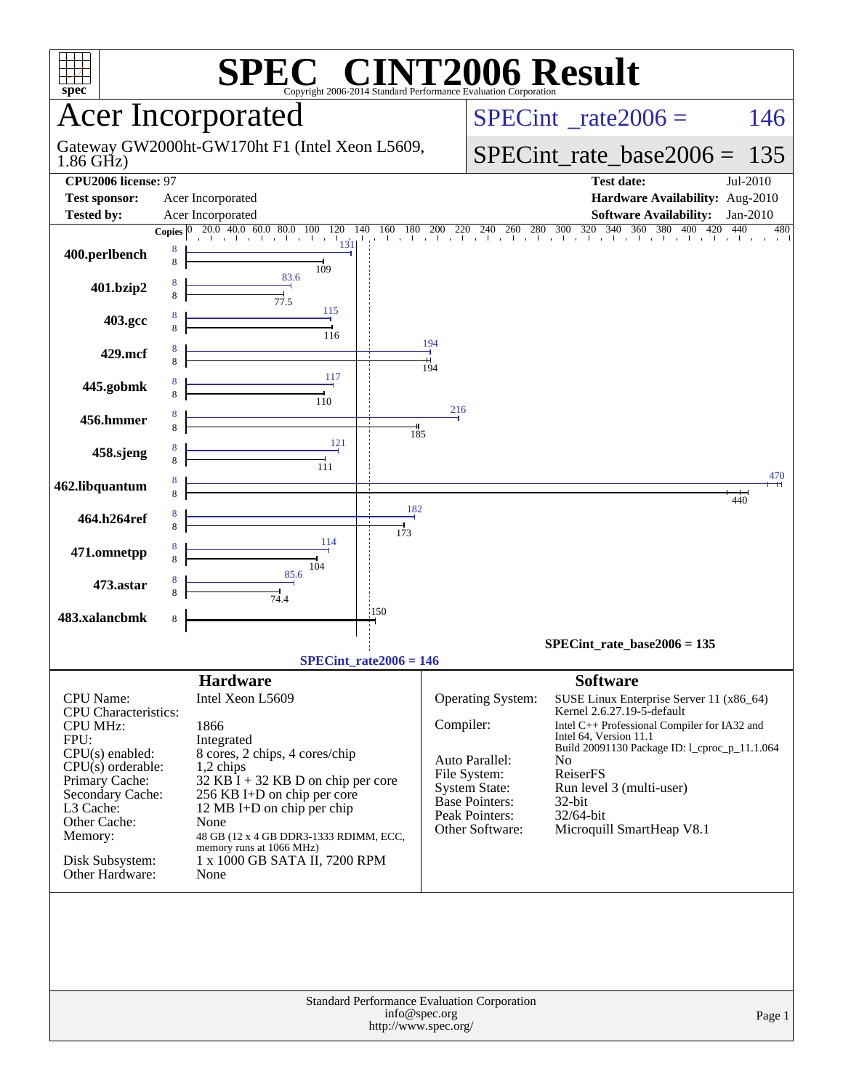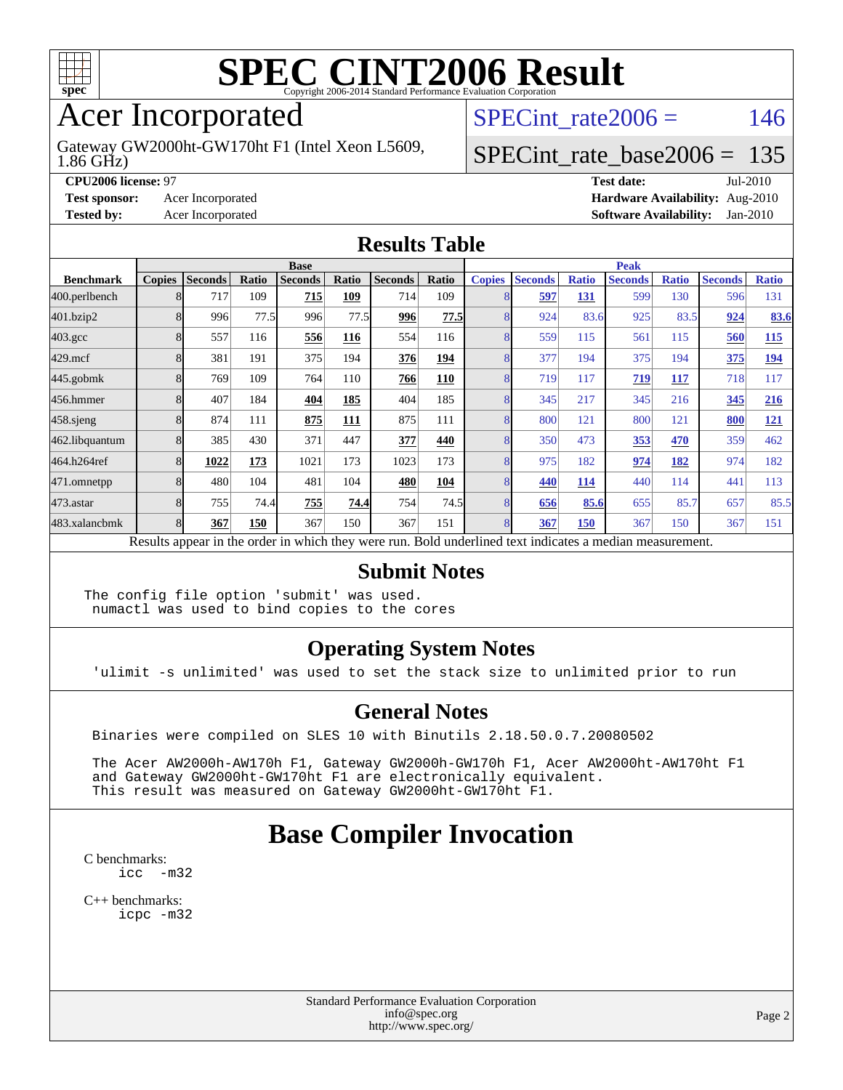

## Acer Incorporated

1.86 GHz) Gateway GW2000ht-GW170ht F1 (Intel Xeon L5609, SPECint rate $2006 = 146$ 

#### [SPECint\\_rate\\_base2006 =](http://www.spec.org/auto/cpu2006/Docs/result-fields.html#SPECintratebase2006) 135

**[CPU2006 license:](http://www.spec.org/auto/cpu2006/Docs/result-fields.html#CPU2006license)** 97 **[Test date:](http://www.spec.org/auto/cpu2006/Docs/result-fields.html#Testdate)** Jul-2010 **[Test sponsor:](http://www.spec.org/auto/cpu2006/Docs/result-fields.html#Testsponsor)** Acer Incorporated **[Hardware Availability:](http://www.spec.org/auto/cpu2006/Docs/result-fields.html#HardwareAvailability)** Aug-2010 **[Tested by:](http://www.spec.org/auto/cpu2006/Docs/result-fields.html#Testedby)** Acer Incorporated **[Software Availability:](http://www.spec.org/auto/cpu2006/Docs/result-fields.html#SoftwareAvailability)** Jan-2010

#### **[Results Table](http://www.spec.org/auto/cpu2006/Docs/result-fields.html#ResultsTable)**

|                    | <b>Base</b>   |                                                                                                          |       |                |       |                |       | <b>Peak</b>   |                |              |                |              |                |              |
|--------------------|---------------|----------------------------------------------------------------------------------------------------------|-------|----------------|-------|----------------|-------|---------------|----------------|--------------|----------------|--------------|----------------|--------------|
| <b>Benchmark</b>   | <b>Copies</b> | <b>Seconds</b>                                                                                           | Ratio | <b>Seconds</b> | Ratio | <b>Seconds</b> | Ratio | <b>Copies</b> | <b>Seconds</b> | <b>Ratio</b> | <b>Seconds</b> | <b>Ratio</b> | <b>Seconds</b> | <b>Ratio</b> |
| 400.perlbench      |               | 717                                                                                                      | 109   | 715            | 109   | 714            | 109   |               | 597            | <u>131</u>   | 599            | 130          | 596            | 131          |
| 401.bzip2          |               | 996                                                                                                      | 77.5  | 996            | 77.5  | 996            | 77.5  |               | 924            | 83.6         | 925            | 83.5         | 924            | 83.6         |
| $403.\mathrm{gcc}$ |               | 557                                                                                                      | 116   | 556            | 116   | 554            | 116   |               | 559            | 115          | 561            | 115          | 560            | <b>115</b>   |
| $429$ .mcf         | 8             | 381                                                                                                      | 191   | 375            | 194   | 376            | 194   |               | 377            | 194          | 375            | 194          | 375            | 194          |
| $445$ .gobm $k$    |               | 769                                                                                                      | 109   | 764            | 110   | 766            | 110   |               | 719            | 117          | 719            | 117          | 718            | 117          |
| 456.hmmer          |               | 407                                                                                                      | 184   | 404            | 185   | 404            | 185   |               | 345            | 217          | 345            | 216          | 345            | 216          |
| 458.sjeng          | 8             | 874                                                                                                      | 111   | 875            | 111   | 875            | 111   |               | 800            | 121          | 800            | 121          | 800            | <u>121</u>   |
| 462.libquantum     |               | 385                                                                                                      | 430   | 371            | 447   | 377            | 440   |               | 350            | 473          | 353            | 470          | 359            | 462          |
| 464.h264ref        | 8             | 1022                                                                                                     | 173   | 1021           | 173   | 1023           | 173   |               | 975            | 182          | 974            | 182          | 974            | 182          |
| 471.omnetpp        |               | 480                                                                                                      | 104   | 481            | 104   | 480            | 104   |               | 440            | 114          | 440            | 114          | 441            | 113          |
| 473.astar          | 8             | 755                                                                                                      | 74.4  | 755            | 74.4  | 754            | 74.5  | $\mathsf{R}$  | 656            | 85.6         | 655            | 85.7         | 657            | 85.5         |
| 483.xalancbmk      | 8             | 367                                                                                                      | 150   | 367            | 150   | 367            | 151   | $\mathsf{R}$  | 367            | 150          | 367            | 150          | 367            | 151          |
|                    |               | Results appear in the order in which they were run. Bold underlined text indicates a median measurement. |       |                |       |                |       |               |                |              |                |              |                |              |

#### **[Submit Notes](http://www.spec.org/auto/cpu2006/Docs/result-fields.html#SubmitNotes)**

The config file option 'submit' was used. numactl was used to bind copies to the cores

#### **[Operating System Notes](http://www.spec.org/auto/cpu2006/Docs/result-fields.html#OperatingSystemNotes)**

'ulimit -s unlimited' was used to set the stack size to unlimited prior to run

#### **[General Notes](http://www.spec.org/auto/cpu2006/Docs/result-fields.html#GeneralNotes)**

Binaries were compiled on SLES 10 with Binutils 2.18.50.0.7.20080502

 The Acer AW2000h-AW170h F1, Gateway GW2000h-GW170h F1, Acer AW2000ht-AW170ht F1 and Gateway GW2000ht-GW170ht F1 are electronically equivalent. This result was measured on Gateway GW2000ht-GW170ht F1.

### **[Base Compiler Invocation](http://www.spec.org/auto/cpu2006/Docs/result-fields.html#BaseCompilerInvocation)**

[C benchmarks](http://www.spec.org/auto/cpu2006/Docs/result-fields.html#Cbenchmarks): [icc -m32](http://www.spec.org/cpu2006/results/res2010q3/cpu2006-20100802-12799.flags.html#user_CCbase_intel_icc_32bit_5ff4a39e364c98233615fdd38438c6f2)

[C++ benchmarks:](http://www.spec.org/auto/cpu2006/Docs/result-fields.html#CXXbenchmarks) [icpc -m32](http://www.spec.org/cpu2006/results/res2010q3/cpu2006-20100802-12799.flags.html#user_CXXbase_intel_icpc_32bit_4e5a5ef1a53fd332b3c49e69c3330699)

> Standard Performance Evaluation Corporation [info@spec.org](mailto:info@spec.org) <http://www.spec.org/>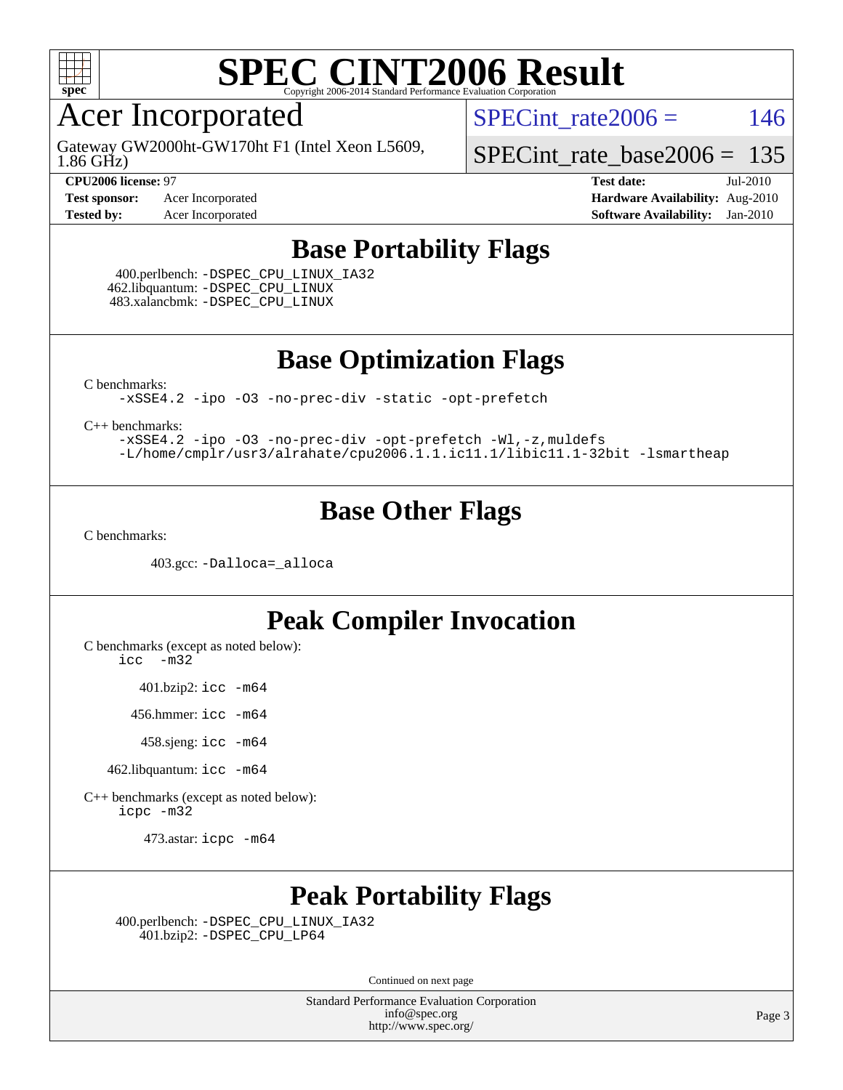

### Acer Incorporated

1.86 GHz) Gateway GW2000ht-GW170ht F1 (Intel Xeon L5609, SPECint rate $2006 = 146$ 

[SPECint\\_rate\\_base2006 =](http://www.spec.org/auto/cpu2006/Docs/result-fields.html#SPECintratebase2006) 135

**[Test sponsor:](http://www.spec.org/auto/cpu2006/Docs/result-fields.html#Testsponsor)** Acer Incorporated **[Hardware Availability:](http://www.spec.org/auto/cpu2006/Docs/result-fields.html#HardwareAvailability)** Aug-2010

**[CPU2006 license:](http://www.spec.org/auto/cpu2006/Docs/result-fields.html#CPU2006license)** 97 **[Test date:](http://www.spec.org/auto/cpu2006/Docs/result-fields.html#Testdate)** Jul-2010 **[Tested by:](http://www.spec.org/auto/cpu2006/Docs/result-fields.html#Testedby)** Acer Incorporated **[Software Availability:](http://www.spec.org/auto/cpu2006/Docs/result-fields.html#SoftwareAvailability)** Jan-2010

#### **[Base Portability Flags](http://www.spec.org/auto/cpu2006/Docs/result-fields.html#BasePortabilityFlags)**

 400.perlbench: [-DSPEC\\_CPU\\_LINUX\\_IA32](http://www.spec.org/cpu2006/results/res2010q3/cpu2006-20100802-12799.flags.html#b400.perlbench_baseCPORTABILITY_DSPEC_CPU_LINUX_IA32) 462.libquantum: [-DSPEC\\_CPU\\_LINUX](http://www.spec.org/cpu2006/results/res2010q3/cpu2006-20100802-12799.flags.html#b462.libquantum_baseCPORTABILITY_DSPEC_CPU_LINUX) 483.xalancbmk: [-DSPEC\\_CPU\\_LINUX](http://www.spec.org/cpu2006/results/res2010q3/cpu2006-20100802-12799.flags.html#b483.xalancbmk_baseCXXPORTABILITY_DSPEC_CPU_LINUX)

**[Base Optimization Flags](http://www.spec.org/auto/cpu2006/Docs/result-fields.html#BaseOptimizationFlags)**

[C benchmarks](http://www.spec.org/auto/cpu2006/Docs/result-fields.html#Cbenchmarks):

[-xSSE4.2](http://www.spec.org/cpu2006/results/res2010q3/cpu2006-20100802-12799.flags.html#user_CCbase_f-xSSE42_f91528193cf0b216347adb8b939d4107) [-ipo](http://www.spec.org/cpu2006/results/res2010q3/cpu2006-20100802-12799.flags.html#user_CCbase_f-ipo) [-O3](http://www.spec.org/cpu2006/results/res2010q3/cpu2006-20100802-12799.flags.html#user_CCbase_f-O3) [-no-prec-div](http://www.spec.org/cpu2006/results/res2010q3/cpu2006-20100802-12799.flags.html#user_CCbase_f-no-prec-div) [-static](http://www.spec.org/cpu2006/results/res2010q3/cpu2006-20100802-12799.flags.html#user_CCbase_f-static) [-opt-prefetch](http://www.spec.org/cpu2006/results/res2010q3/cpu2006-20100802-12799.flags.html#user_CCbase_f-opt-prefetch)

[C++ benchmarks:](http://www.spec.org/auto/cpu2006/Docs/result-fields.html#CXXbenchmarks)

[-xSSE4.2](http://www.spec.org/cpu2006/results/res2010q3/cpu2006-20100802-12799.flags.html#user_CXXbase_f-xSSE42_f91528193cf0b216347adb8b939d4107) [-ipo](http://www.spec.org/cpu2006/results/res2010q3/cpu2006-20100802-12799.flags.html#user_CXXbase_f-ipo) [-O3](http://www.spec.org/cpu2006/results/res2010q3/cpu2006-20100802-12799.flags.html#user_CXXbase_f-O3) [-no-prec-div](http://www.spec.org/cpu2006/results/res2010q3/cpu2006-20100802-12799.flags.html#user_CXXbase_f-no-prec-div) [-opt-prefetch](http://www.spec.org/cpu2006/results/res2010q3/cpu2006-20100802-12799.flags.html#user_CXXbase_f-opt-prefetch) [-Wl,-z,muldefs](http://www.spec.org/cpu2006/results/res2010q3/cpu2006-20100802-12799.flags.html#user_CXXbase_link_force_multiple1_74079c344b956b9658436fd1b6dd3a8a) [-L/home/cmplr/usr3/alrahate/cpu2006.1.1.ic11.1/libic11.1-32bit -lsmartheap](http://www.spec.org/cpu2006/results/res2010q3/cpu2006-20100802-12799.flags.html#user_CXXbase_SmartHeap_d86dffe4a79b79ef8890d5cce17030c3)

#### **[Base Other Flags](http://www.spec.org/auto/cpu2006/Docs/result-fields.html#BaseOtherFlags)**

[C benchmarks](http://www.spec.org/auto/cpu2006/Docs/result-fields.html#Cbenchmarks):

403.gcc: [-Dalloca=\\_alloca](http://www.spec.org/cpu2006/results/res2010q3/cpu2006-20100802-12799.flags.html#b403.gcc_baseEXTRA_CFLAGS_Dalloca_be3056838c12de2578596ca5467af7f3)

#### **[Peak Compiler Invocation](http://www.spec.org/auto/cpu2006/Docs/result-fields.html#PeakCompilerInvocation)**

[C benchmarks \(except as noted below\)](http://www.spec.org/auto/cpu2006/Docs/result-fields.html#Cbenchmarksexceptasnotedbelow):

[icc -m32](http://www.spec.org/cpu2006/results/res2010q3/cpu2006-20100802-12799.flags.html#user_CCpeak_intel_icc_32bit_5ff4a39e364c98233615fdd38438c6f2)

401.bzip2: [icc -m64](http://www.spec.org/cpu2006/results/res2010q3/cpu2006-20100802-12799.flags.html#user_peakCCLD401_bzip2_intel_icc_64bit_bda6cc9af1fdbb0edc3795bac97ada53)

456.hmmer: [icc -m64](http://www.spec.org/cpu2006/results/res2010q3/cpu2006-20100802-12799.flags.html#user_peakCCLD456_hmmer_intel_icc_64bit_bda6cc9af1fdbb0edc3795bac97ada53)

458.sjeng: [icc -m64](http://www.spec.org/cpu2006/results/res2010q3/cpu2006-20100802-12799.flags.html#user_peakCCLD458_sjeng_intel_icc_64bit_bda6cc9af1fdbb0edc3795bac97ada53)

462.libquantum: [icc -m64](http://www.spec.org/cpu2006/results/res2010q3/cpu2006-20100802-12799.flags.html#user_peakCCLD462_libquantum_intel_icc_64bit_bda6cc9af1fdbb0edc3795bac97ada53)

[C++ benchmarks \(except as noted below\):](http://www.spec.org/auto/cpu2006/Docs/result-fields.html#CXXbenchmarksexceptasnotedbelow) [icpc -m32](http://www.spec.org/cpu2006/results/res2010q3/cpu2006-20100802-12799.flags.html#user_CXXpeak_intel_icpc_32bit_4e5a5ef1a53fd332b3c49e69c3330699)

473.astar: [icpc -m64](http://www.spec.org/cpu2006/results/res2010q3/cpu2006-20100802-12799.flags.html#user_peakCXXLD473_astar_intel_icpc_64bit_fc66a5337ce925472a5c54ad6a0de310)

### **[Peak Portability Flags](http://www.spec.org/auto/cpu2006/Docs/result-fields.html#PeakPortabilityFlags)**

 400.perlbench: [-DSPEC\\_CPU\\_LINUX\\_IA32](http://www.spec.org/cpu2006/results/res2010q3/cpu2006-20100802-12799.flags.html#b400.perlbench_peakCPORTABILITY_DSPEC_CPU_LINUX_IA32) 401.bzip2: [-DSPEC\\_CPU\\_LP64](http://www.spec.org/cpu2006/results/res2010q3/cpu2006-20100802-12799.flags.html#suite_peakCPORTABILITY401_bzip2_DSPEC_CPU_LP64)

Continued on next page

Standard Performance Evaluation Corporation [info@spec.org](mailto:info@spec.org) <http://www.spec.org/>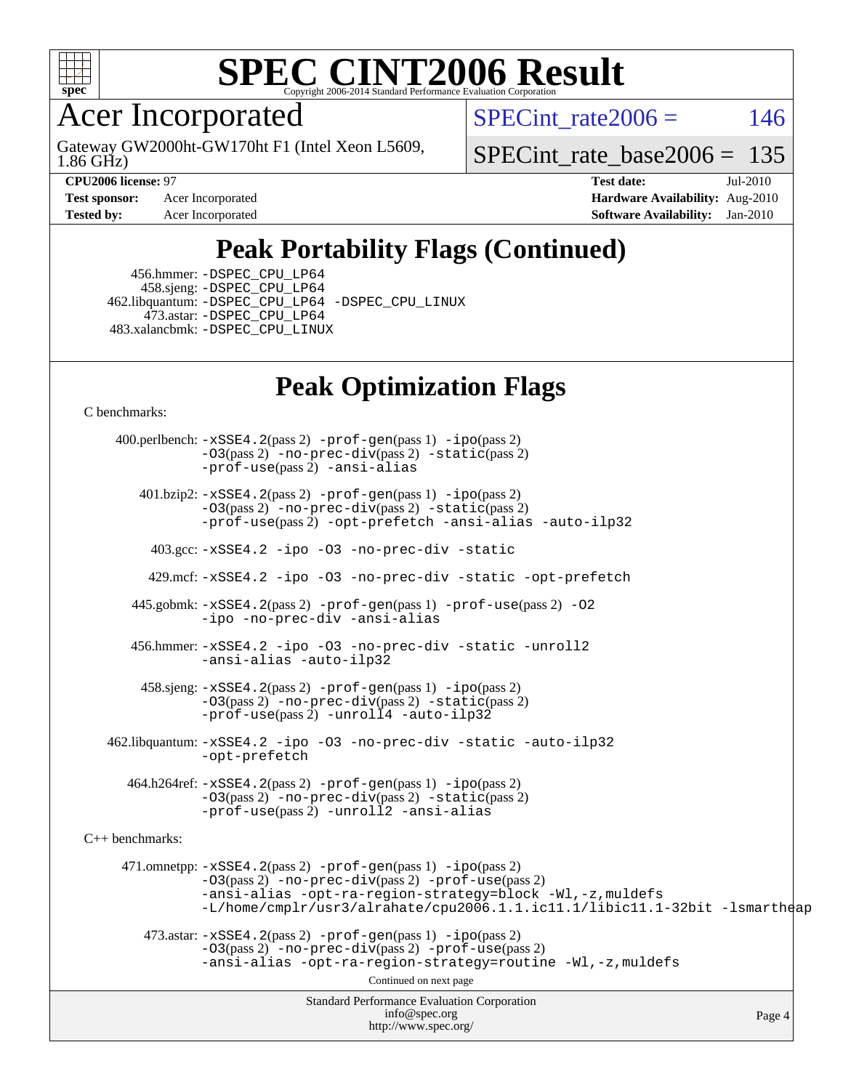

Acer Incorporated

1.86 GHz) Gateway GW2000ht-GW170ht F1 (Intel Xeon L5609, SPECint rate $2006 = 146$ 

[SPECint\\_rate\\_base2006 =](http://www.spec.org/auto/cpu2006/Docs/result-fields.html#SPECintratebase2006) 135

**[Test sponsor:](http://www.spec.org/auto/cpu2006/Docs/result-fields.html#Testsponsor)** Acer Incorporated **[Hardware Availability:](http://www.spec.org/auto/cpu2006/Docs/result-fields.html#HardwareAvailability)** Aug-2010

**[CPU2006 license:](http://www.spec.org/auto/cpu2006/Docs/result-fields.html#CPU2006license)** 97 **[Test date:](http://www.spec.org/auto/cpu2006/Docs/result-fields.html#Testdate)** Jul-2010 **[Tested by:](http://www.spec.org/auto/cpu2006/Docs/result-fields.html#Testedby)** Acer Incorporated **[Software Availability:](http://www.spec.org/auto/cpu2006/Docs/result-fields.html#SoftwareAvailability)** Jan-2010

## **[Peak Portability Flags \(Continued\)](http://www.spec.org/auto/cpu2006/Docs/result-fields.html#PeakPortabilityFlags)**

 456.hmmer: [-DSPEC\\_CPU\\_LP64](http://www.spec.org/cpu2006/results/res2010q3/cpu2006-20100802-12799.flags.html#suite_peakCPORTABILITY456_hmmer_DSPEC_CPU_LP64) 458.sjeng: [-DSPEC\\_CPU\\_LP64](http://www.spec.org/cpu2006/results/res2010q3/cpu2006-20100802-12799.flags.html#suite_peakCPORTABILITY458_sjeng_DSPEC_CPU_LP64) 462.libquantum: [-DSPEC\\_CPU\\_LP64](http://www.spec.org/cpu2006/results/res2010q3/cpu2006-20100802-12799.flags.html#suite_peakCPORTABILITY462_libquantum_DSPEC_CPU_LP64) [-DSPEC\\_CPU\\_LINUX](http://www.spec.org/cpu2006/results/res2010q3/cpu2006-20100802-12799.flags.html#b462.libquantum_peakCPORTABILITY_DSPEC_CPU_LINUX) 473.astar: [-DSPEC\\_CPU\\_LP64](http://www.spec.org/cpu2006/results/res2010q3/cpu2006-20100802-12799.flags.html#suite_peakCXXPORTABILITY473_astar_DSPEC_CPU_LP64) 483.xalancbmk: [-DSPEC\\_CPU\\_LINUX](http://www.spec.org/cpu2006/results/res2010q3/cpu2006-20100802-12799.flags.html#b483.xalancbmk_peakCXXPORTABILITY_DSPEC_CPU_LINUX)

### **[Peak Optimization Flags](http://www.spec.org/auto/cpu2006/Docs/result-fields.html#PeakOptimizationFlags)**

[C benchmarks](http://www.spec.org/auto/cpu2006/Docs/result-fields.html#Cbenchmarks):

Standard Performance Evaluation Corporation [info@spec.org](mailto:info@spec.org) <http://www.spec.org/> Page 4 400.perlbench: [-xSSE4.2](http://www.spec.org/cpu2006/results/res2010q3/cpu2006-20100802-12799.flags.html#user_peakPASS2_CFLAGSPASS2_LDCFLAGS400_perlbench_f-xSSE42_f91528193cf0b216347adb8b939d4107)(pass 2) [-prof-gen](http://www.spec.org/cpu2006/results/res2010q3/cpu2006-20100802-12799.flags.html#user_peakPASS1_CFLAGSPASS1_LDCFLAGS400_perlbench_prof_gen_e43856698f6ca7b7e442dfd80e94a8fc)(pass 1) [-ipo](http://www.spec.org/cpu2006/results/res2010q3/cpu2006-20100802-12799.flags.html#user_peakPASS2_CFLAGSPASS2_LDCFLAGS400_perlbench_f-ipo)(pass 2) [-O3](http://www.spec.org/cpu2006/results/res2010q3/cpu2006-20100802-12799.flags.html#user_peakPASS2_CFLAGSPASS2_LDCFLAGS400_perlbench_f-O3)(pass 2) [-no-prec-div](http://www.spec.org/cpu2006/results/res2010q3/cpu2006-20100802-12799.flags.html#user_peakPASS2_CFLAGSPASS2_LDCFLAGS400_perlbench_f-no-prec-div)(pass 2) [-static](http://www.spec.org/cpu2006/results/res2010q3/cpu2006-20100802-12799.flags.html#user_peakPASS2_CFLAGSPASS2_LDCFLAGS400_perlbench_f-static)(pass 2) [-prof-use](http://www.spec.org/cpu2006/results/res2010q3/cpu2006-20100802-12799.flags.html#user_peakPASS2_CFLAGSPASS2_LDCFLAGS400_perlbench_prof_use_bccf7792157ff70d64e32fe3e1250b55)(pass 2) [-ansi-alias](http://www.spec.org/cpu2006/results/res2010q3/cpu2006-20100802-12799.flags.html#user_peakCOPTIMIZE400_perlbench_f-ansi-alias) 401.bzip2: [-xSSE4.2](http://www.spec.org/cpu2006/results/res2010q3/cpu2006-20100802-12799.flags.html#user_peakPASS2_CFLAGSPASS2_LDCFLAGS401_bzip2_f-xSSE42_f91528193cf0b216347adb8b939d4107)(pass 2) [-prof-gen](http://www.spec.org/cpu2006/results/res2010q3/cpu2006-20100802-12799.flags.html#user_peakPASS1_CFLAGSPASS1_LDCFLAGS401_bzip2_prof_gen_e43856698f6ca7b7e442dfd80e94a8fc)(pass 1) [-ipo](http://www.spec.org/cpu2006/results/res2010q3/cpu2006-20100802-12799.flags.html#user_peakPASS2_CFLAGSPASS2_LDCFLAGS401_bzip2_f-ipo)(pass 2) [-O3](http://www.spec.org/cpu2006/results/res2010q3/cpu2006-20100802-12799.flags.html#user_peakPASS2_CFLAGSPASS2_LDCFLAGS401_bzip2_f-O3)(pass 2) [-no-prec-div](http://www.spec.org/cpu2006/results/res2010q3/cpu2006-20100802-12799.flags.html#user_peakPASS2_CFLAGSPASS2_LDCFLAGS401_bzip2_f-no-prec-div)(pass 2) [-static](http://www.spec.org/cpu2006/results/res2010q3/cpu2006-20100802-12799.flags.html#user_peakPASS2_CFLAGSPASS2_LDCFLAGS401_bzip2_f-static)(pass 2) [-prof-use](http://www.spec.org/cpu2006/results/res2010q3/cpu2006-20100802-12799.flags.html#user_peakPASS2_CFLAGSPASS2_LDCFLAGS401_bzip2_prof_use_bccf7792157ff70d64e32fe3e1250b55)(pass 2) [-opt-prefetch](http://www.spec.org/cpu2006/results/res2010q3/cpu2006-20100802-12799.flags.html#user_peakCOPTIMIZE401_bzip2_f-opt-prefetch) [-ansi-alias](http://www.spec.org/cpu2006/results/res2010q3/cpu2006-20100802-12799.flags.html#user_peakCOPTIMIZE401_bzip2_f-ansi-alias) [-auto-ilp32](http://www.spec.org/cpu2006/results/res2010q3/cpu2006-20100802-12799.flags.html#user_peakCOPTIMIZE401_bzip2_f-auto-ilp32) 403.gcc: [-xSSE4.2](http://www.spec.org/cpu2006/results/res2010q3/cpu2006-20100802-12799.flags.html#user_peakCOPTIMIZE403_gcc_f-xSSE42_f91528193cf0b216347adb8b939d4107) [-ipo](http://www.spec.org/cpu2006/results/res2010q3/cpu2006-20100802-12799.flags.html#user_peakCOPTIMIZE403_gcc_f-ipo) [-O3](http://www.spec.org/cpu2006/results/res2010q3/cpu2006-20100802-12799.flags.html#user_peakCOPTIMIZE403_gcc_f-O3) [-no-prec-div](http://www.spec.org/cpu2006/results/res2010q3/cpu2006-20100802-12799.flags.html#user_peakCOPTIMIZE403_gcc_f-no-prec-div) [-static](http://www.spec.org/cpu2006/results/res2010q3/cpu2006-20100802-12799.flags.html#user_peakCOPTIMIZE403_gcc_f-static) 429.mcf: [-xSSE4.2](http://www.spec.org/cpu2006/results/res2010q3/cpu2006-20100802-12799.flags.html#user_peakCOPTIMIZE429_mcf_f-xSSE42_f91528193cf0b216347adb8b939d4107) [-ipo](http://www.spec.org/cpu2006/results/res2010q3/cpu2006-20100802-12799.flags.html#user_peakCOPTIMIZE429_mcf_f-ipo) [-O3](http://www.spec.org/cpu2006/results/res2010q3/cpu2006-20100802-12799.flags.html#user_peakCOPTIMIZE429_mcf_f-O3) [-no-prec-div](http://www.spec.org/cpu2006/results/res2010q3/cpu2006-20100802-12799.flags.html#user_peakCOPTIMIZE429_mcf_f-no-prec-div) [-static](http://www.spec.org/cpu2006/results/res2010q3/cpu2006-20100802-12799.flags.html#user_peakCOPTIMIZE429_mcf_f-static) [-opt-prefetch](http://www.spec.org/cpu2006/results/res2010q3/cpu2006-20100802-12799.flags.html#user_peakCOPTIMIZE429_mcf_f-opt-prefetch) 445.gobmk: [-xSSE4.2](http://www.spec.org/cpu2006/results/res2010q3/cpu2006-20100802-12799.flags.html#user_peakPASS2_CFLAGSPASS2_LDCFLAGS445_gobmk_f-xSSE42_f91528193cf0b216347adb8b939d4107)(pass 2) [-prof-gen](http://www.spec.org/cpu2006/results/res2010q3/cpu2006-20100802-12799.flags.html#user_peakPASS1_CFLAGSPASS1_LDCFLAGS445_gobmk_prof_gen_e43856698f6ca7b7e442dfd80e94a8fc)(pass 1) [-prof-use](http://www.spec.org/cpu2006/results/res2010q3/cpu2006-20100802-12799.flags.html#user_peakPASS2_CFLAGSPASS2_LDCFLAGS445_gobmk_prof_use_bccf7792157ff70d64e32fe3e1250b55)(pass 2) [-O2](http://www.spec.org/cpu2006/results/res2010q3/cpu2006-20100802-12799.flags.html#user_peakCOPTIMIZE445_gobmk_f-O2) [-ipo](http://www.spec.org/cpu2006/results/res2010q3/cpu2006-20100802-12799.flags.html#user_peakCOPTIMIZE445_gobmk_f-ipo) [-no-prec-div](http://www.spec.org/cpu2006/results/res2010q3/cpu2006-20100802-12799.flags.html#user_peakCOPTIMIZE445_gobmk_f-no-prec-div) [-ansi-alias](http://www.spec.org/cpu2006/results/res2010q3/cpu2006-20100802-12799.flags.html#user_peakCOPTIMIZE445_gobmk_f-ansi-alias) 456.hmmer: [-xSSE4.2](http://www.spec.org/cpu2006/results/res2010q3/cpu2006-20100802-12799.flags.html#user_peakCOPTIMIZE456_hmmer_f-xSSE42_f91528193cf0b216347adb8b939d4107) [-ipo](http://www.spec.org/cpu2006/results/res2010q3/cpu2006-20100802-12799.flags.html#user_peakCOPTIMIZE456_hmmer_f-ipo) [-O3](http://www.spec.org/cpu2006/results/res2010q3/cpu2006-20100802-12799.flags.html#user_peakCOPTIMIZE456_hmmer_f-O3) [-no-prec-div](http://www.spec.org/cpu2006/results/res2010q3/cpu2006-20100802-12799.flags.html#user_peakCOPTIMIZE456_hmmer_f-no-prec-div) [-static](http://www.spec.org/cpu2006/results/res2010q3/cpu2006-20100802-12799.flags.html#user_peakCOPTIMIZE456_hmmer_f-static) [-unroll2](http://www.spec.org/cpu2006/results/res2010q3/cpu2006-20100802-12799.flags.html#user_peakCOPTIMIZE456_hmmer_f-unroll_784dae83bebfb236979b41d2422d7ec2) [-ansi-alias](http://www.spec.org/cpu2006/results/res2010q3/cpu2006-20100802-12799.flags.html#user_peakCOPTIMIZE456_hmmer_f-ansi-alias) [-auto-ilp32](http://www.spec.org/cpu2006/results/res2010q3/cpu2006-20100802-12799.flags.html#user_peakCOPTIMIZE456_hmmer_f-auto-ilp32) 458.sjeng: [-xSSE4.2](http://www.spec.org/cpu2006/results/res2010q3/cpu2006-20100802-12799.flags.html#user_peakPASS2_CFLAGSPASS2_LDCFLAGS458_sjeng_f-xSSE42_f91528193cf0b216347adb8b939d4107)(pass 2) [-prof-gen](http://www.spec.org/cpu2006/results/res2010q3/cpu2006-20100802-12799.flags.html#user_peakPASS1_CFLAGSPASS1_LDCFLAGS458_sjeng_prof_gen_e43856698f6ca7b7e442dfd80e94a8fc)(pass 1) [-ipo](http://www.spec.org/cpu2006/results/res2010q3/cpu2006-20100802-12799.flags.html#user_peakPASS2_CFLAGSPASS2_LDCFLAGS458_sjeng_f-ipo)(pass 2) [-O3](http://www.spec.org/cpu2006/results/res2010q3/cpu2006-20100802-12799.flags.html#user_peakPASS2_CFLAGSPASS2_LDCFLAGS458_sjeng_f-O3)(pass 2) [-no-prec-div](http://www.spec.org/cpu2006/results/res2010q3/cpu2006-20100802-12799.flags.html#user_peakPASS2_CFLAGSPASS2_LDCFLAGS458_sjeng_f-no-prec-div)(pass 2) [-static](http://www.spec.org/cpu2006/results/res2010q3/cpu2006-20100802-12799.flags.html#user_peakPASS2_CFLAGSPASS2_LDCFLAGS458_sjeng_f-static)(pass 2) [-prof-use](http://www.spec.org/cpu2006/results/res2010q3/cpu2006-20100802-12799.flags.html#user_peakPASS2_CFLAGSPASS2_LDCFLAGS458_sjeng_prof_use_bccf7792157ff70d64e32fe3e1250b55)(pass 2) [-unroll4](http://www.spec.org/cpu2006/results/res2010q3/cpu2006-20100802-12799.flags.html#user_peakCOPTIMIZE458_sjeng_f-unroll_4e5e4ed65b7fd20bdcd365bec371b81f) [-auto-ilp32](http://www.spec.org/cpu2006/results/res2010q3/cpu2006-20100802-12799.flags.html#user_peakCOPTIMIZE458_sjeng_f-auto-ilp32) 462.libquantum: [-xSSE4.2](http://www.spec.org/cpu2006/results/res2010q3/cpu2006-20100802-12799.flags.html#user_peakCOPTIMIZE462_libquantum_f-xSSE42_f91528193cf0b216347adb8b939d4107) [-ipo](http://www.spec.org/cpu2006/results/res2010q3/cpu2006-20100802-12799.flags.html#user_peakCOPTIMIZE462_libquantum_f-ipo) [-O3](http://www.spec.org/cpu2006/results/res2010q3/cpu2006-20100802-12799.flags.html#user_peakCOPTIMIZE462_libquantum_f-O3) [-no-prec-div](http://www.spec.org/cpu2006/results/res2010q3/cpu2006-20100802-12799.flags.html#user_peakCOPTIMIZE462_libquantum_f-no-prec-div) [-static](http://www.spec.org/cpu2006/results/res2010q3/cpu2006-20100802-12799.flags.html#user_peakCOPTIMIZE462_libquantum_f-static) [-auto-ilp32](http://www.spec.org/cpu2006/results/res2010q3/cpu2006-20100802-12799.flags.html#user_peakCOPTIMIZE462_libquantum_f-auto-ilp32) [-opt-prefetch](http://www.spec.org/cpu2006/results/res2010q3/cpu2006-20100802-12799.flags.html#user_peakCOPTIMIZE462_libquantum_f-opt-prefetch) 464.h264ref: [-xSSE4.2](http://www.spec.org/cpu2006/results/res2010q3/cpu2006-20100802-12799.flags.html#user_peakPASS2_CFLAGSPASS2_LDCFLAGS464_h264ref_f-xSSE42_f91528193cf0b216347adb8b939d4107)(pass 2) [-prof-gen](http://www.spec.org/cpu2006/results/res2010q3/cpu2006-20100802-12799.flags.html#user_peakPASS1_CFLAGSPASS1_LDCFLAGS464_h264ref_prof_gen_e43856698f6ca7b7e442dfd80e94a8fc)(pass 1) [-ipo](http://www.spec.org/cpu2006/results/res2010q3/cpu2006-20100802-12799.flags.html#user_peakPASS2_CFLAGSPASS2_LDCFLAGS464_h264ref_f-ipo)(pass 2) [-O3](http://www.spec.org/cpu2006/results/res2010q3/cpu2006-20100802-12799.flags.html#user_peakPASS2_CFLAGSPASS2_LDCFLAGS464_h264ref_f-O3)(pass 2) [-no-prec-div](http://www.spec.org/cpu2006/results/res2010q3/cpu2006-20100802-12799.flags.html#user_peakPASS2_CFLAGSPASS2_LDCFLAGS464_h264ref_f-no-prec-div)(pass 2) [-static](http://www.spec.org/cpu2006/results/res2010q3/cpu2006-20100802-12799.flags.html#user_peakPASS2_CFLAGSPASS2_LDCFLAGS464_h264ref_f-static)(pass 2) [-prof-use](http://www.spec.org/cpu2006/results/res2010q3/cpu2006-20100802-12799.flags.html#user_peakPASS2_CFLAGSPASS2_LDCFLAGS464_h264ref_prof_use_bccf7792157ff70d64e32fe3e1250b55)(pass 2) [-unroll2](http://www.spec.org/cpu2006/results/res2010q3/cpu2006-20100802-12799.flags.html#user_peakCOPTIMIZE464_h264ref_f-unroll_784dae83bebfb236979b41d2422d7ec2) [-ansi-alias](http://www.spec.org/cpu2006/results/res2010q3/cpu2006-20100802-12799.flags.html#user_peakCOPTIMIZE464_h264ref_f-ansi-alias) [C++ benchmarks:](http://www.spec.org/auto/cpu2006/Docs/result-fields.html#CXXbenchmarks) 471.omnetpp: [-xSSE4.2](http://www.spec.org/cpu2006/results/res2010q3/cpu2006-20100802-12799.flags.html#user_peakPASS2_CXXFLAGSPASS2_LDCXXFLAGS471_omnetpp_f-xSSE42_f91528193cf0b216347adb8b939d4107)(pass 2) [-prof-gen](http://www.spec.org/cpu2006/results/res2010q3/cpu2006-20100802-12799.flags.html#user_peakPASS1_CXXFLAGSPASS1_LDCXXFLAGS471_omnetpp_prof_gen_e43856698f6ca7b7e442dfd80e94a8fc)(pass 1) [-ipo](http://www.spec.org/cpu2006/results/res2010q3/cpu2006-20100802-12799.flags.html#user_peakPASS2_CXXFLAGSPASS2_LDCXXFLAGS471_omnetpp_f-ipo)(pass 2) [-O3](http://www.spec.org/cpu2006/results/res2010q3/cpu2006-20100802-12799.flags.html#user_peakPASS2_CXXFLAGSPASS2_LDCXXFLAGS471_omnetpp_f-O3)(pass 2) [-no-prec-div](http://www.spec.org/cpu2006/results/res2010q3/cpu2006-20100802-12799.flags.html#user_peakPASS2_CXXFLAGSPASS2_LDCXXFLAGS471_omnetpp_f-no-prec-div)(pass 2) [-prof-use](http://www.spec.org/cpu2006/results/res2010q3/cpu2006-20100802-12799.flags.html#user_peakPASS2_CXXFLAGSPASS2_LDCXXFLAGS471_omnetpp_prof_use_bccf7792157ff70d64e32fe3e1250b55)(pass 2) [-ansi-alias](http://www.spec.org/cpu2006/results/res2010q3/cpu2006-20100802-12799.flags.html#user_peakCXXOPTIMIZE471_omnetpp_f-ansi-alias) [-opt-ra-region-strategy=block](http://www.spec.org/cpu2006/results/res2010q3/cpu2006-20100802-12799.flags.html#user_peakCXXOPTIMIZE471_omnetpp_f-opt-ra-region-strategy-block_a0a37c372d03933b2a18d4af463c1f69) [-Wl,-z,muldefs](http://www.spec.org/cpu2006/results/res2010q3/cpu2006-20100802-12799.flags.html#user_peakEXTRA_LDFLAGS471_omnetpp_link_force_multiple1_74079c344b956b9658436fd1b6dd3a8a) [-L/home/cmplr/usr3/alrahate/cpu2006.1.1.ic11.1/libic11.1-32bit -lsmartheap](http://www.spec.org/cpu2006/results/res2010q3/cpu2006-20100802-12799.flags.html#user_peakEXTRA_LIBS471_omnetpp_SmartHeap_d86dffe4a79b79ef8890d5cce17030c3)  $473.\text{astar: } -xSSE4$ .  $2(\text{pass 2})$   $-\text{prof-gen}(\text{pass 1})$   $-i\text{po}(\text{pass 2})$ [-O3](http://www.spec.org/cpu2006/results/res2010q3/cpu2006-20100802-12799.flags.html#user_peakPASS2_CXXFLAGSPASS2_LDCXXFLAGS473_astar_f-O3)(pass 2) [-no-prec-div](http://www.spec.org/cpu2006/results/res2010q3/cpu2006-20100802-12799.flags.html#user_peakPASS2_CXXFLAGSPASS2_LDCXXFLAGS473_astar_f-no-prec-div)(pass 2) [-prof-use](http://www.spec.org/cpu2006/results/res2010q3/cpu2006-20100802-12799.flags.html#user_peakPASS2_CXXFLAGSPASS2_LDCXXFLAGS473_astar_prof_use_bccf7792157ff70d64e32fe3e1250b55)(pass 2) [-ansi-alias](http://www.spec.org/cpu2006/results/res2010q3/cpu2006-20100802-12799.flags.html#user_peakCXXOPTIMIZE473_astar_f-ansi-alias) [-opt-ra-region-strategy=routine](http://www.spec.org/cpu2006/results/res2010q3/cpu2006-20100802-12799.flags.html#user_peakCXXOPTIMIZE473_astar_f-opt-ra-region-strategy-routine_ba086ea3b1d46a52e1238e2ca173ed44) [-Wl,-z,muldefs](http://www.spec.org/cpu2006/results/res2010q3/cpu2006-20100802-12799.flags.html#user_peakEXTRA_LDFLAGS473_astar_link_force_multiple1_74079c344b956b9658436fd1b6dd3a8a) Continued on next page